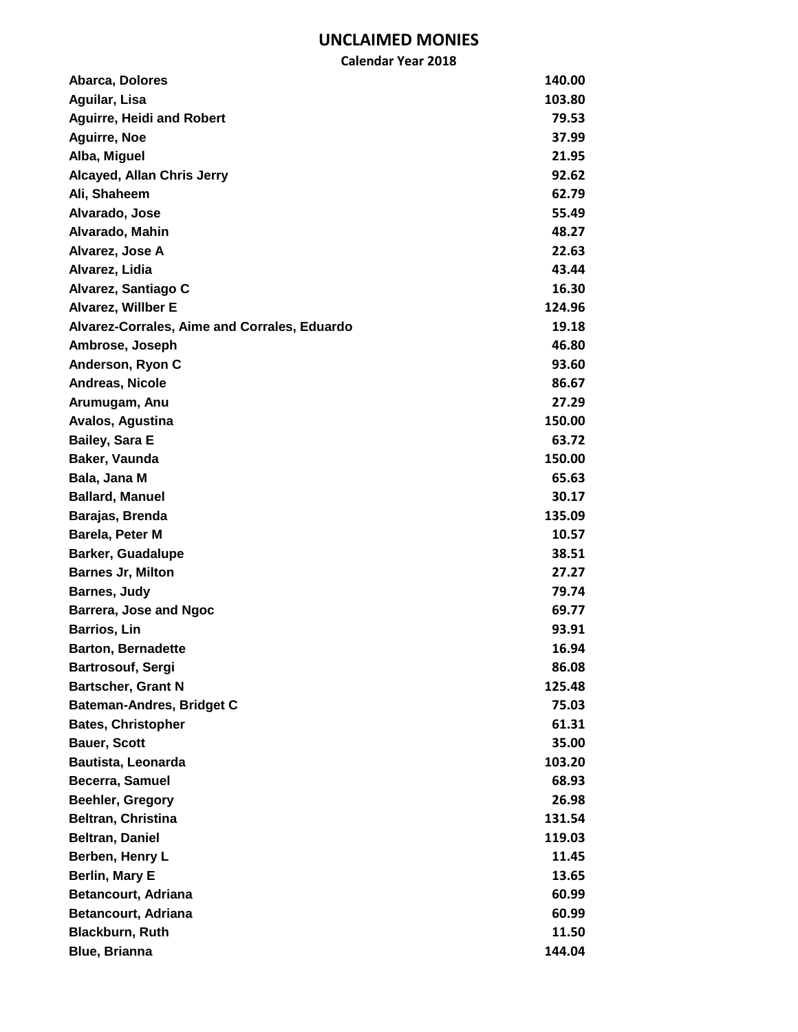| Abarca, Dolores                              | 140.00 |
|----------------------------------------------|--------|
| Aguilar, Lisa                                | 103.80 |
| <b>Aguirre, Heidi and Robert</b>             | 79.53  |
| <b>Aguirre, Noe</b>                          | 37.99  |
| Alba, Miguel                                 | 21.95  |
| Alcayed, Allan Chris Jerry                   | 92.62  |
| Ali, Shaheem                                 | 62.79  |
| Alvarado, Jose                               | 55.49  |
| Alvarado, Mahin                              | 48.27  |
| Alvarez, Jose A                              | 22.63  |
| Alvarez, Lidia                               | 43.44  |
| Alvarez, Santiago C                          | 16.30  |
| <b>Alvarez, Willber E</b>                    | 124.96 |
| Alvarez-Corrales, Aime and Corrales, Eduardo | 19.18  |
| Ambrose, Joseph                              | 46.80  |
| Anderson, Ryon C                             | 93.60  |
| Andreas, Nicole                              | 86.67  |
| Arumugam, Anu                                | 27.29  |
| Avalos, Agustina                             | 150.00 |
| <b>Bailey, Sara E</b>                        | 63.72  |
| Baker, Vaunda                                | 150.00 |
| Bala, Jana M                                 | 65.63  |
| <b>Ballard, Manuel</b>                       | 30.17  |
| Barajas, Brenda                              | 135.09 |
| Barela, Peter M                              | 10.57  |
| <b>Barker, Guadalupe</b>                     | 38.51  |
| <b>Barnes Jr, Milton</b>                     | 27.27  |
| <b>Barnes, Judy</b>                          | 79.74  |
| Barrera, Jose and Ngoc                       | 69.77  |
| <b>Barrios, Lin</b>                          | 93.91  |
| <b>Barton, Bernadette</b>                    | 16.94  |
| Bartrosouf, Sergi                            | 86.08  |
| <b>Bartscher, Grant N</b>                    | 125.48 |
| <b>Bateman-Andres, Bridget C</b>             | 75.03  |
| <b>Bates, Christopher</b>                    | 61.31  |
| <b>Bauer, Scott</b>                          | 35.00  |
| Bautista, Leonarda                           | 103.20 |
| Becerra, Samuel                              | 68.93  |
| <b>Beehler, Gregory</b>                      | 26.98  |
| <b>Beltran, Christina</b>                    | 131.54 |
| <b>Beltran, Daniel</b>                       | 119.03 |
| Berben, Henry L                              | 11.45  |
| <b>Berlin, Mary E</b>                        | 13.65  |
| <b>Betancourt, Adriana</b>                   | 60.99  |
| <b>Betancourt, Adriana</b>                   | 60.99  |
| <b>Blackburn, Ruth</b>                       | 11.50  |
| <b>Blue, Brianna</b>                         | 144.04 |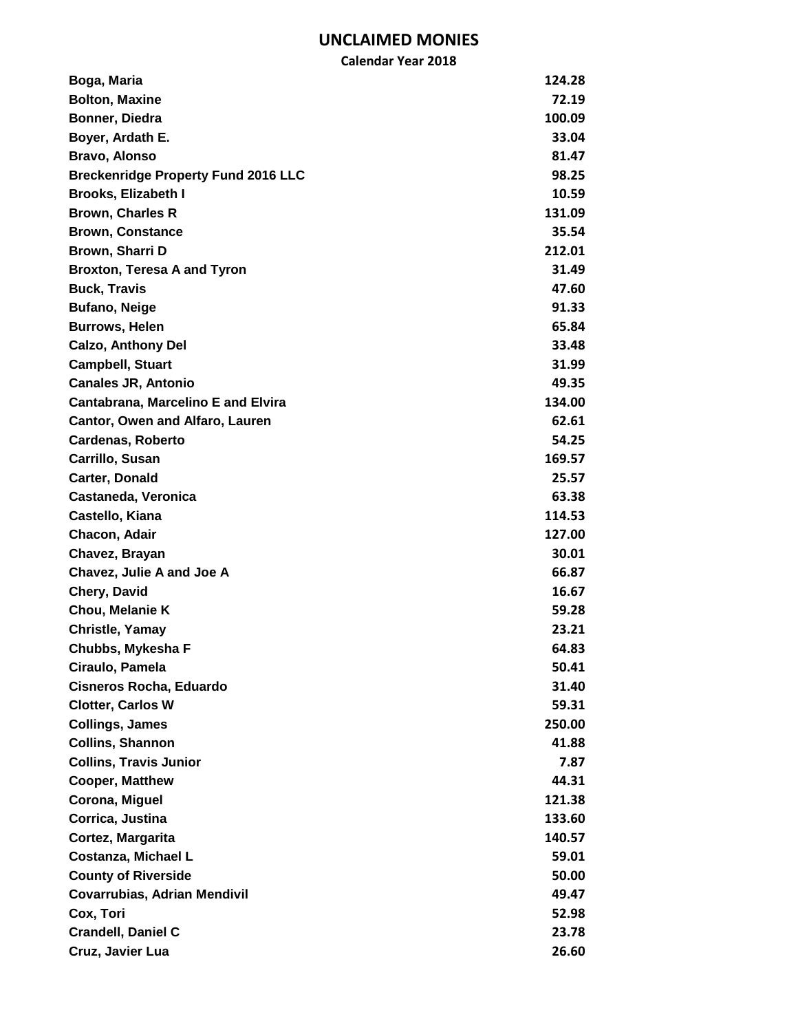| Boga, Maria                                | 124.28 |
|--------------------------------------------|--------|
| <b>Bolton, Maxine</b>                      | 72.19  |
| Bonner, Diedra                             | 100.09 |
| Boyer, Ardath E.                           | 33.04  |
| Bravo, Alonso                              | 81.47  |
| <b>Breckenridge Property Fund 2016 LLC</b> | 98.25  |
| <b>Brooks, Elizabeth I</b>                 | 10.59  |
| <b>Brown, Charles R</b>                    | 131.09 |
| <b>Brown, Constance</b>                    | 35.54  |
| Brown, Sharri D                            | 212.01 |
| <b>Broxton, Teresa A and Tyron</b>         | 31.49  |
| <b>Buck, Travis</b>                        | 47.60  |
| <b>Bufano, Neige</b>                       | 91.33  |
| <b>Burrows, Helen</b>                      | 65.84  |
| <b>Calzo, Anthony Del</b>                  | 33.48  |
| <b>Campbell, Stuart</b>                    | 31.99  |
| <b>Canales JR, Antonio</b>                 | 49.35  |
| <b>Cantabrana, Marcelino E and Elvira</b>  | 134.00 |
| <b>Cantor, Owen and Alfaro, Lauren</b>     | 62.61  |
| <b>Cardenas, Roberto</b>                   | 54.25  |
| Carrillo, Susan                            | 169.57 |
| Carter, Donald                             | 25.57  |
| Castaneda, Veronica                        | 63.38  |
| Castello, Kiana                            | 114.53 |
| Chacon, Adair                              | 127.00 |
| Chavez, Brayan                             | 30.01  |
| Chavez, Julie A and Joe A                  | 66.87  |
| Chery, David                               | 16.67  |
| Chou, Melanie K                            | 59.28  |
| <b>Christle, Yamay</b>                     | 23.21  |
| Chubbs, Mykesha F                          | 64.83  |
| Ciraulo, Pamela                            | 50.41  |
| Cisneros Rocha, Eduardo                    | 31.40  |
| <b>Clotter, Carlos W</b>                   | 59.31  |
| <b>Collings, James</b>                     | 250.00 |
| <b>Collins, Shannon</b>                    | 41.88  |
| <b>Collins, Travis Junior</b>              | 7.87   |
| <b>Cooper, Matthew</b>                     | 44.31  |
| Corona, Miguel                             | 121.38 |
| Corrica, Justina                           | 133.60 |
| Cortez, Margarita                          | 140.57 |
| Costanza, Michael L                        | 59.01  |
| <b>County of Riverside</b>                 | 50.00  |
| <b>Covarrubias, Adrian Mendivil</b>        | 49.47  |
| Cox, Tori                                  | 52.98  |
| <b>Crandell, Daniel C</b>                  | 23.78  |
| Cruz, Javier Lua                           | 26.60  |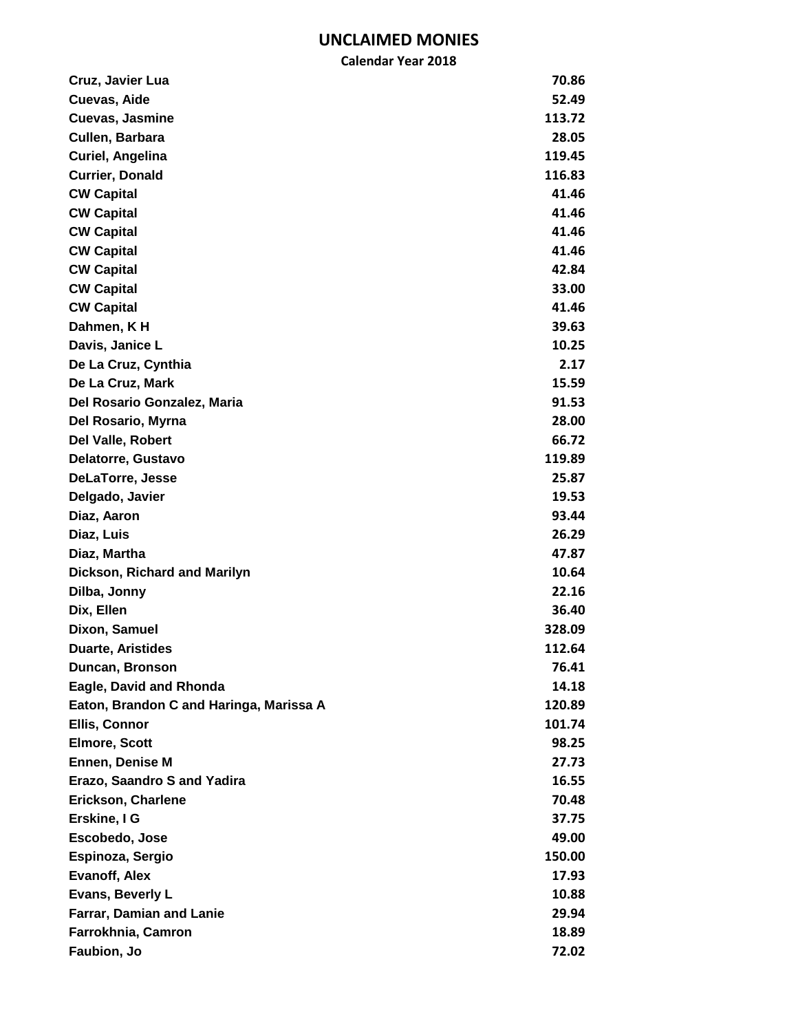| Cruz, Javier Lua                        | 70.86  |
|-----------------------------------------|--------|
| Cuevas, Aide                            | 52.49  |
| Cuevas, Jasmine                         | 113.72 |
| Cullen, Barbara                         | 28.05  |
| Curiel, Angelina                        | 119.45 |
| <b>Currier, Donald</b>                  | 116.83 |
| <b>CW Capital</b>                       | 41.46  |
| <b>CW Capital</b>                       | 41.46  |
| <b>CW Capital</b>                       | 41.46  |
| <b>CW Capital</b>                       | 41.46  |
| <b>CW Capital</b>                       | 42.84  |
| <b>CW Capital</b>                       | 33.00  |
| <b>CW Capital</b>                       | 41.46  |
| Dahmen, KH                              | 39.63  |
| Davis, Janice L                         | 10.25  |
| De La Cruz, Cynthia                     | 2.17   |
| De La Cruz, Mark                        | 15.59  |
| Del Rosario Gonzalez, Maria             | 91.53  |
| Del Rosario, Myrna                      | 28.00  |
| <b>Del Valle, Robert</b>                | 66.72  |
| Delatorre, Gustavo                      | 119.89 |
| <b>DeLaTorre, Jesse</b>                 | 25.87  |
| Delgado, Javier                         | 19.53  |
| Diaz, Aaron                             | 93.44  |
| Diaz, Luis                              | 26.29  |
| Diaz, Martha                            | 47.87  |
| Dickson, Richard and Marilyn            | 10.64  |
| Dilba, Jonny                            | 22.16  |
| Dix, Ellen                              | 36.40  |
| Dixon, Samuel                           | 328.09 |
| <b>Duarte, Aristides</b>                | 112.64 |
| Duncan, Bronson                         | 76.41  |
| Eagle, David and Rhonda                 | 14.18  |
| Eaton, Brandon C and Haringa, Marissa A | 120.89 |
| Ellis, Connor                           | 101.74 |
| <b>Elmore, Scott</b>                    | 98.25  |
| <b>Ennen, Denise M</b>                  | 27.73  |
| <b>Erazo, Saandro S and Yadira</b>      | 16.55  |
| Erickson, Charlene                      | 70.48  |
| Erskine, I G                            | 37.75  |
| Escobedo, Jose                          | 49.00  |
| Espinoza, Sergio                        | 150.00 |
| <b>Evanoff, Alex</b>                    | 17.93  |
| Evans, Beverly L                        | 10.88  |
| Farrar, Damian and Lanie                | 29.94  |
| Farrokhnia, Camron                      | 18.89  |
| Faubion, Jo                             | 72.02  |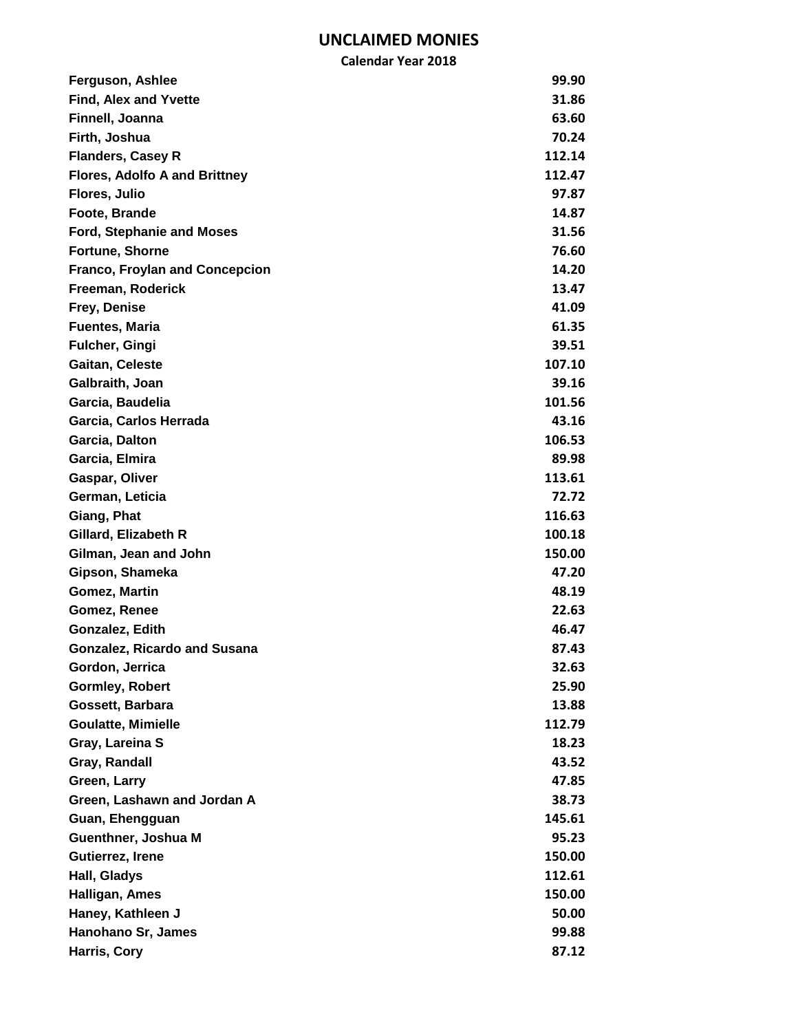| Ferguson, Ashlee                      | 99.90  |
|---------------------------------------|--------|
| <b>Find, Alex and Yvette</b>          | 31.86  |
| Finnell, Joanna                       | 63.60  |
| Firth, Joshua                         | 70.24  |
| <b>Flanders, Casey R</b>              | 112.14 |
| <b>Flores, Adolfo A and Brittney</b>  | 112.47 |
| Flores, Julio                         | 97.87  |
| Foote, Brande                         | 14.87  |
| <b>Ford, Stephanie and Moses</b>      | 31.56  |
| Fortune, Shorne                       | 76.60  |
| <b>Franco, Froylan and Concepcion</b> | 14.20  |
| Freeman, Roderick                     | 13.47  |
| Frey, Denise                          | 41.09  |
| <b>Fuentes, Maria</b>                 | 61.35  |
| <b>Fulcher, Gingi</b>                 | 39.51  |
| Gaitan, Celeste                       | 107.10 |
| Galbraith, Joan                       | 39.16  |
| Garcia, Baudelia                      | 101.56 |
| Garcia, Carlos Herrada                | 43.16  |
| Garcia, Dalton                        | 106.53 |
| Garcia, Elmira                        | 89.98  |
| Gaspar, Oliver                        | 113.61 |
| German, Leticia                       | 72.72  |
| Giang, Phat                           | 116.63 |
| Gillard, Elizabeth R                  | 100.18 |
| Gilman, Jean and John                 | 150.00 |
| Gipson, Shameka                       | 47.20  |
| Gomez, Martin                         | 48.19  |
| Gomez, Renee                          | 22.63  |
| Gonzalez, Edith                       | 46.47  |
| <b>Gonzalez, Ricardo and Susana</b>   | 87.43  |
| Gordon, Jerrica                       | 32.63  |
| <b>Gormley, Robert</b>                | 25.90  |
| Gossett, Barbara                      | 13.88  |
| <b>Goulatte, Mimielle</b>             | 112.79 |
| Gray, Lareina S                       | 18.23  |
| Gray, Randall                         | 43.52  |
| Green, Larry                          | 47.85  |
| Green, Lashawn and Jordan A           | 38.73  |
| Guan, Ehengguan                       | 145.61 |
| Guenthner, Joshua M                   | 95.23  |
| Gutierrez, Irene                      | 150.00 |
| Hall, Gladys                          | 112.61 |
| Halligan, Ames                        | 150.00 |
| Haney, Kathleen J                     | 50.00  |
| Hanohano Sr, James                    | 99.88  |
| Harris, Cory                          | 87.12  |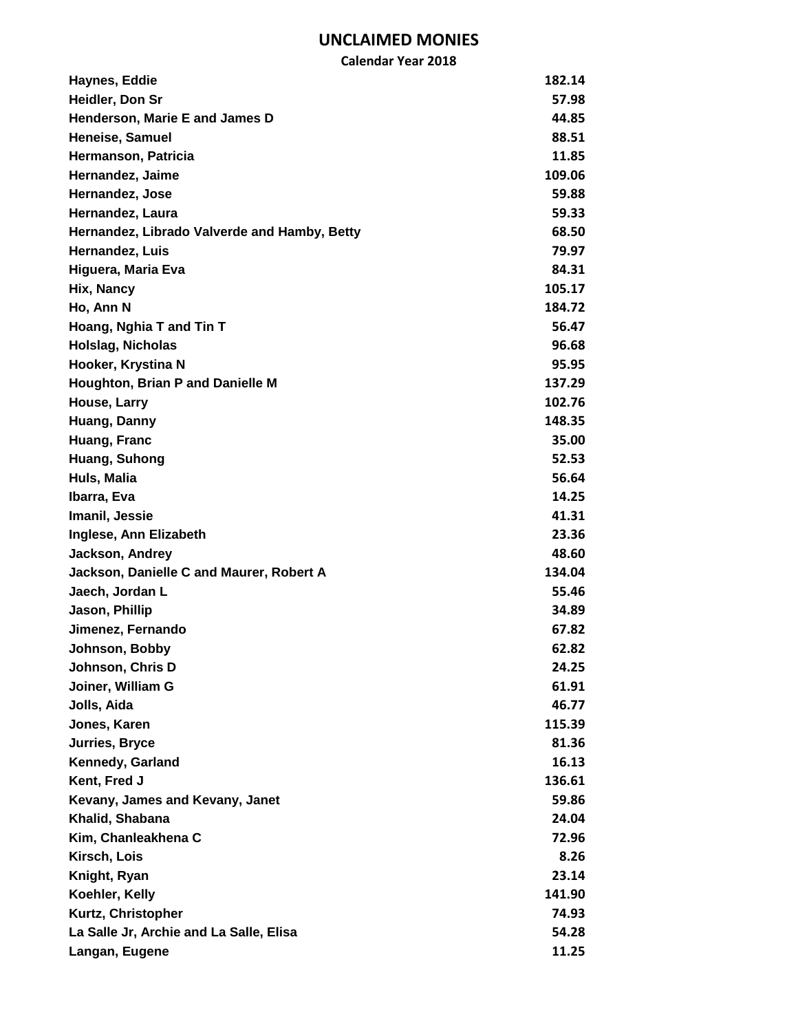| <b>Calendar Year 2018</b>                    |        |
|----------------------------------------------|--------|
| Haynes, Eddie                                | 182.14 |
| Heidler, Don Sr                              | 57.98  |
| Henderson, Marie E and James D               | 44.85  |
| Heneise, Samuel                              | 88.51  |
| Hermanson, Patricia                          | 11.85  |
| Hernandez, Jaime                             | 109.06 |
| Hernandez, Jose                              | 59.88  |
| Hernandez, Laura                             | 59.33  |
| Hernandez, Librado Valverde and Hamby, Betty | 68.50  |
| Hernandez, Luis                              | 79.97  |
| Higuera, Maria Eva                           | 84.31  |
| Hix, Nancy                                   | 105.17 |
| Ho, Ann N                                    | 184.72 |
| Hoang, Nghia T and Tin T                     | 56.47  |
| <b>Holslag, Nicholas</b>                     | 96.68  |
| Hooker, Krystina N                           | 95.95  |
| Houghton, Brian P and Danielle M             | 137.29 |
| House, Larry                                 | 102.76 |
| Huang, Danny                                 | 148.35 |
| Huang, Franc                                 | 35.00  |
| Huang, Suhong                                | 52.53  |
| Huls, Malia                                  | 56.64  |
| Ibarra, Eva                                  | 14.25  |
| Imanil, Jessie                               | 41.31  |
| Inglese, Ann Elizabeth                       | 23.36  |
| Jackson, Andrey                              | 48.60  |
| Jackson, Danielle C and Maurer, Robert A     | 134.04 |
| Jaech, Jordan L                              | 55.46  |
| Jason, Phillip                               | 34.89  |
| Jimenez, Fernando                            | 67.82  |
| Johnson, Bobby                               | 62.82  |
| Johnson, Chris D                             | 24.25  |
| Joiner, William G                            | 61.91  |
| Jolls, Aida                                  | 46.77  |
| Jones, Karen                                 | 115.39 |
| <b>Jurries, Bryce</b>                        | 81.36  |
| Kennedy, Garland                             | 16.13  |
| Kent, Fred J                                 | 136.61 |
| Kevany, James and Kevany, Janet              | 59.86  |
| Khalid, Shabana                              | 24.04  |
| Kim, Chanleakhena C                          | 72.96  |
| Kirsch, Lois                                 | 8.26   |
| Knight, Ryan                                 | 23.14  |
| Koehler, Kelly                               | 141.90 |
| Kurtz, Christopher                           | 74.93  |
| La Salle Jr, Archie and La Salle, Elisa      | 54.28  |
| Langan, Eugene                               | 11.25  |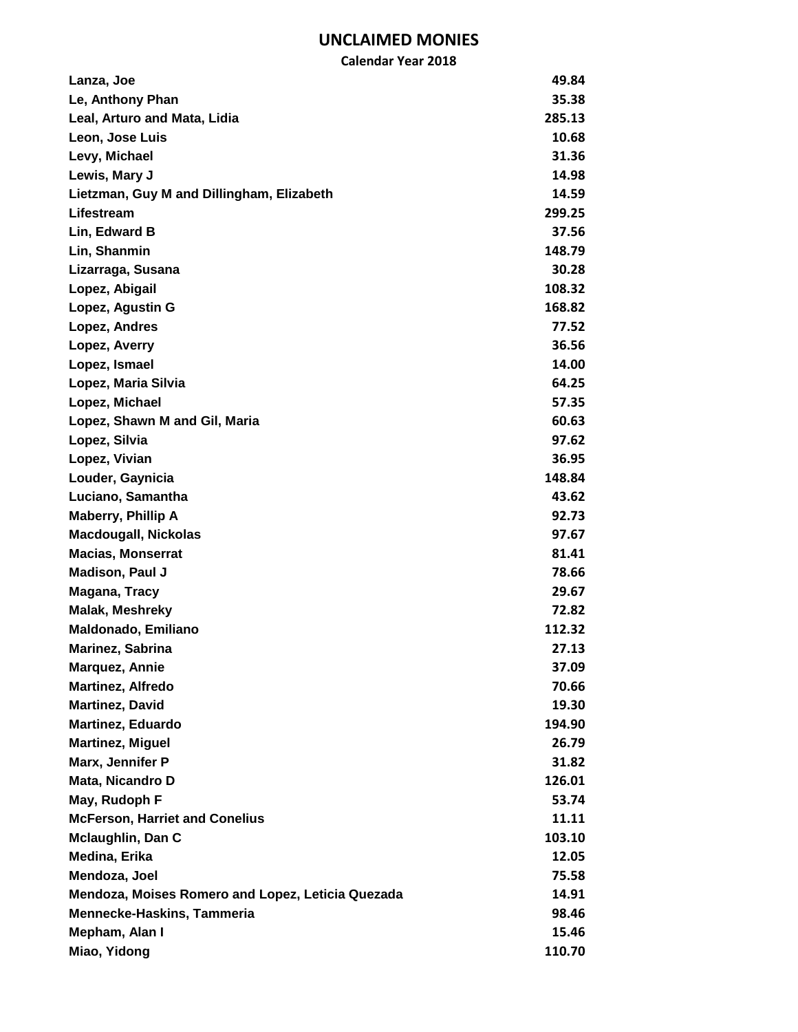|                                                   | <b>Calendar Year 2018</b> |
|---------------------------------------------------|---------------------------|
| Lanza, Joe                                        | 49.84                     |
| Le, Anthony Phan                                  | 35.38                     |
| Leal, Arturo and Mata, Lidia                      | 285.13                    |
| Leon, Jose Luis                                   | 10.68                     |
| Levy, Michael                                     | 31.36                     |
| Lewis, Mary J                                     | 14.98                     |
| Lietzman, Guy M and Dillingham, Elizabeth         | 14.59                     |
| Lifestream                                        | 299.25                    |
| Lin, Edward B                                     | 37.56                     |
| Lin, Shanmin                                      | 148.79                    |
| Lizarraga, Susana                                 | 30.28                     |
| Lopez, Abigail                                    | 108.32                    |
| Lopez, Agustin G                                  | 168.82                    |
| Lopez, Andres                                     | 77.52                     |
| Lopez, Averry                                     | 36.56                     |
| Lopez, Ismael                                     | 14.00                     |
| Lopez, Maria Silvia                               | 64.25                     |
| Lopez, Michael                                    | 57.35                     |
| Lopez, Shawn M and Gil, Maria                     | 60.63                     |
| Lopez, Silvia                                     | 97.62                     |
| Lopez, Vivian                                     | 36.95                     |
| Louder, Gaynicia                                  | 148.84                    |
| Luciano, Samantha                                 | 43.62                     |
| Maberry, Phillip A                                | 92.73                     |
| <b>Macdougall, Nickolas</b>                       | 97.67                     |
| <b>Macias, Monserrat</b>                          | 81.41                     |
| <b>Madison, Paul J</b>                            | 78.66                     |
| Magana, Tracy                                     | 29.67                     |
| Malak, Meshreky                                   | 72.82                     |
| <b>Maldonado, Emiliano</b>                        | 112.32                    |
| Marinez, Sabrina                                  | 27.13                     |
| <b>Marquez, Annie</b>                             | 37.09                     |
| Martinez, Alfredo                                 | 70.66                     |
| <b>Martinez, David</b>                            | 19.30                     |
| <b>Martinez, Eduardo</b>                          | 194.90                    |
| <b>Martinez, Miguel</b>                           | 26.79                     |
| Marx, Jennifer P                                  | 31.82                     |
| Mata, Nicandro D                                  | 126.01                    |
| May, Rudoph F                                     | 53.74                     |
| <b>McFerson, Harriet and Conelius</b>             | 11.11                     |
| <b>Mclaughlin, Dan C</b>                          | 103.10                    |
| Medina, Erika                                     | 12.05                     |
| Mendoza, Joel                                     | 75.58                     |
| Mendoza, Moises Romero and Lopez, Leticia Quezada | 14.91                     |
| <b>Mennecke-Haskins, Tammeria</b>                 | 98.46                     |
| Mepham, Alan I                                    | 15.46                     |
| Miao, Yidong                                      | 110.70                    |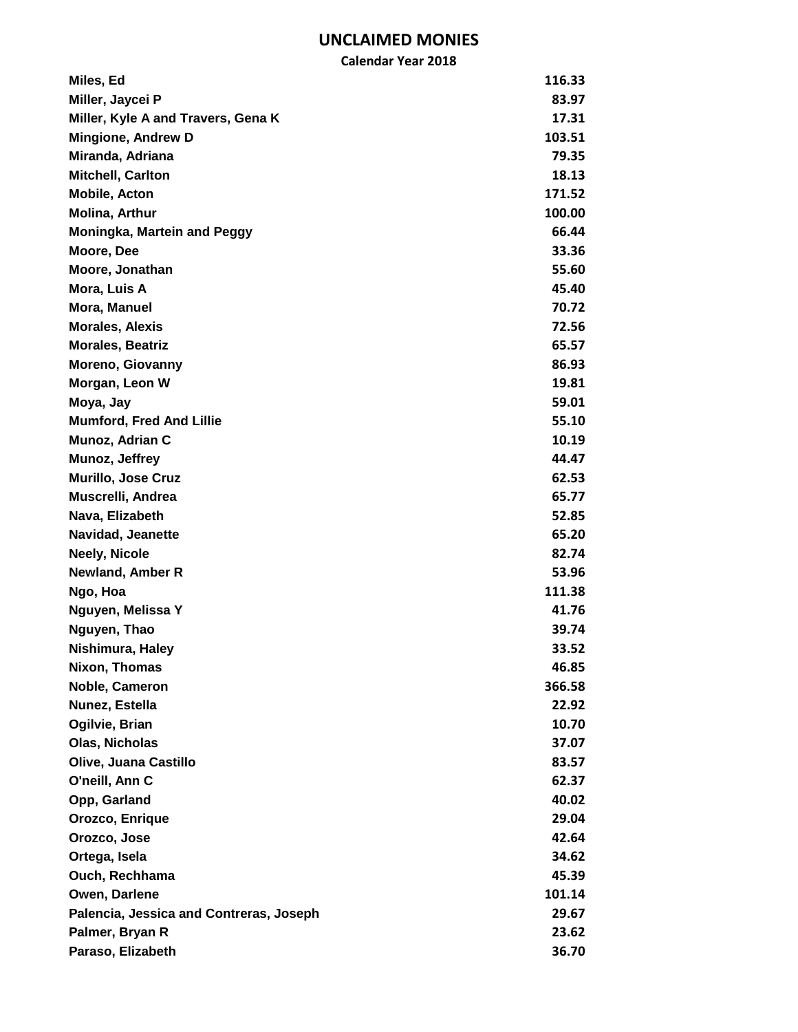| Miles, Ed                               | 116.33 |
|-----------------------------------------|--------|
| Miller, Jaycei P                        | 83.97  |
| Miller, Kyle A and Travers, Gena K      | 17.31  |
| <b>Mingione, Andrew D</b>               | 103.51 |
| Miranda, Adriana                        | 79.35  |
| <b>Mitchell, Carlton</b>                | 18.13  |
| <b>Mobile, Acton</b>                    | 171.52 |
| <b>Molina, Arthur</b>                   | 100.00 |
| <b>Moningka, Martein and Peggy</b>      | 66.44  |
| Moore, Dee                              | 33.36  |
| Moore, Jonathan                         | 55.60  |
| Mora, Luis A                            | 45.40  |
| Mora, Manuel                            | 70.72  |
| <b>Morales, Alexis</b>                  | 72.56  |
| <b>Morales, Beatriz</b>                 | 65.57  |
| Moreno, Giovanny                        | 86.93  |
| Morgan, Leon W                          | 19.81  |
| Moya, Jay                               | 59.01  |
| <b>Mumford, Fred And Lillie</b>         | 55.10  |
| Munoz, Adrian C                         | 10.19  |
| Munoz, Jeffrey                          | 44.47  |
| Murillo, Jose Cruz                      | 62.53  |
| Muscrelli, Andrea                       | 65.77  |
| Nava, Elizabeth                         | 52.85  |
| Navidad, Jeanette                       | 65.20  |
| <b>Neely, Nicole</b>                    | 82.74  |
| <b>Newland, Amber R</b>                 | 53.96  |
| Ngo, Hoa                                | 111.38 |
| Nguyen, Melissa Y                       | 41.76  |
| Nguyen, Thao                            | 39.74  |
| Nishimura, Haley                        | 33.52  |
| Nixon, Thomas                           | 46.85  |
| Noble, Cameron                          | 366.58 |
| Nunez, Estella                          | 22.92  |
| Ogilvie, Brian                          | 10.70  |
| <b>Olas, Nicholas</b>                   | 37.07  |
| Olive, Juana Castillo                   | 83.57  |
| O'neill, Ann C                          | 62.37  |
| Opp, Garland                            | 40.02  |
| Orozco, Enrique                         | 29.04  |
| Orozco, Jose                            | 42.64  |
| Ortega, Isela                           | 34.62  |
| Ouch, Rechhama                          | 45.39  |
| Owen, Darlene                           | 101.14 |
| Palencia, Jessica and Contreras, Joseph | 29.67  |
| Palmer, Bryan R                         | 23.62  |
| Paraso, Elizabeth                       | 36.70  |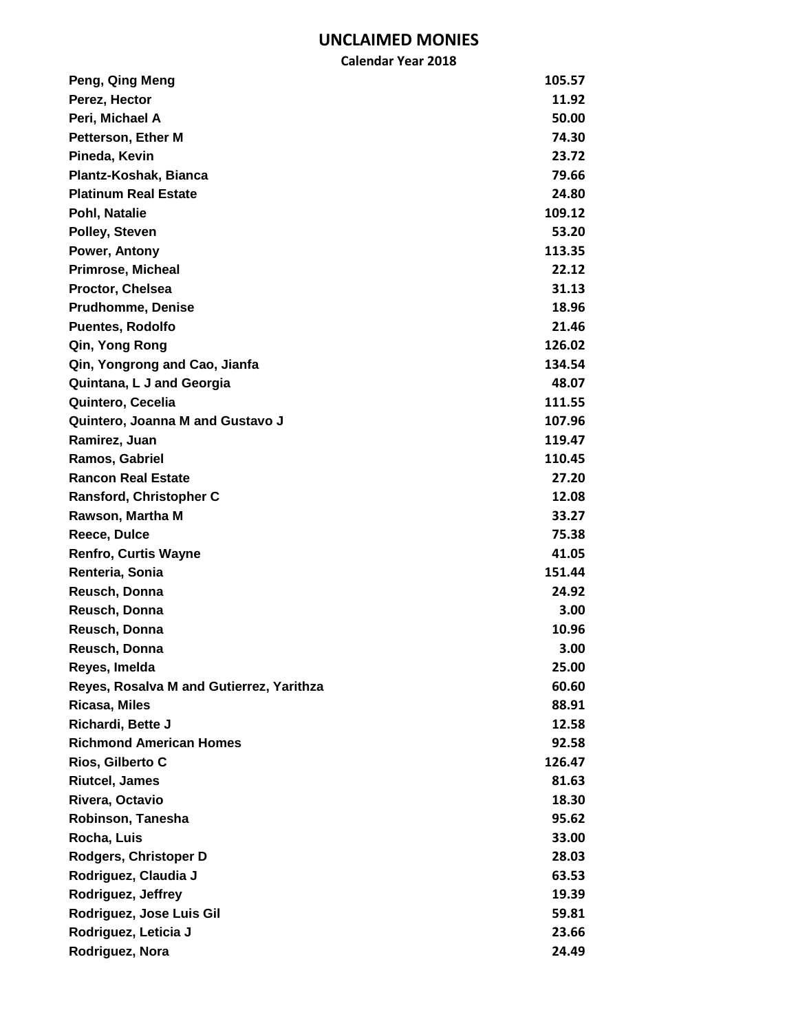| Peng, Qing Meng                          | 105.57 |
|------------------------------------------|--------|
| Perez, Hector                            | 11.92  |
| Peri, Michael A                          | 50.00  |
| <b>Petterson, Ether M</b>                | 74.30  |
| Pineda, Kevin                            | 23.72  |
| Plantz-Koshak, Bianca                    | 79.66  |
| <b>Platinum Real Estate</b>              | 24.80  |
| Pohl, Natalie                            | 109.12 |
| Polley, Steven                           | 53.20  |
| Power, Antony                            | 113.35 |
| <b>Primrose, Micheal</b>                 | 22.12  |
| Proctor, Chelsea                         | 31.13  |
| <b>Prudhomme, Denise</b>                 | 18.96  |
| <b>Puentes, Rodolfo</b>                  | 21.46  |
| Qin, Yong Rong                           | 126.02 |
| Qin, Yongrong and Cao, Jianfa            | 134.54 |
| Quintana, L J and Georgia                | 48.07  |
| Quintero, Cecelia                        | 111.55 |
| Quintero, Joanna M and Gustavo J         | 107.96 |
| Ramirez, Juan                            | 119.47 |
| Ramos, Gabriel                           | 110.45 |
| <b>Rancon Real Estate</b>                | 27.20  |
| Ransford, Christopher C                  | 12.08  |
| Rawson, Martha M                         | 33.27  |
| Reece, Dulce                             | 75.38  |
| <b>Renfro, Curtis Wayne</b>              | 41.05  |
| Renteria, Sonia                          | 151.44 |
| Reusch, Donna                            | 24.92  |
| Reusch, Donna                            | 3.00   |
| Reusch, Donna                            | 10.96  |
| Reusch, Donna                            | 3.00   |
| Reyes, Imelda                            | 25.00  |
| Reyes, Rosalva M and Gutierrez, Yarithza | 60.60  |
| Ricasa, Miles                            | 88.91  |
| Richardi, Bette J                        | 12.58  |
| <b>Richmond American Homes</b>           | 92.58  |
| Rios, Gilberto C                         | 126.47 |
| <b>Riutcel, James</b>                    | 81.63  |
| Rivera, Octavio                          | 18.30  |
| Robinson, Tanesha                        | 95.62  |
| Rocha, Luis                              | 33.00  |
| Rodgers, Christoper D                    | 28.03  |
| Rodriguez, Claudia J                     | 63.53  |
| Rodriguez, Jeffrey                       | 19.39  |
| Rodriguez, Jose Luis Gil                 | 59.81  |
| Rodriguez, Leticia J                     | 23.66  |
| Rodriguez, Nora                          | 24.49  |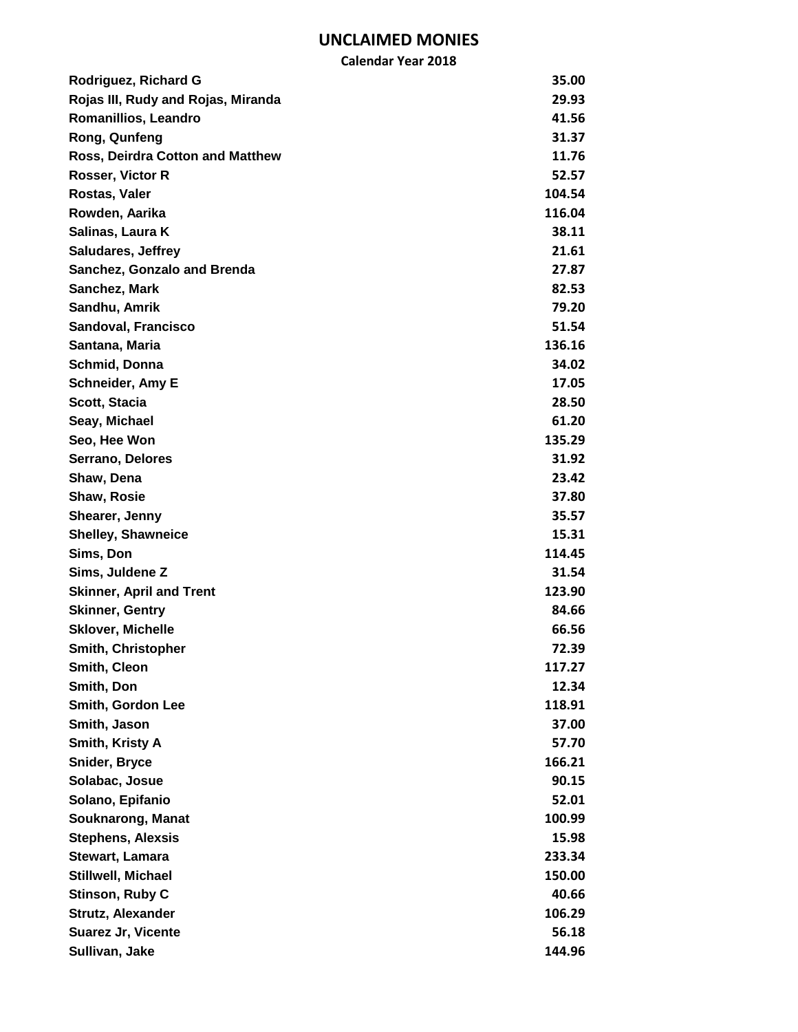| Rodriguez, Richard G                    | 35.00  |
|-----------------------------------------|--------|
| Rojas III, Rudy and Rojas, Miranda      | 29.93  |
| Romanillios, Leandro                    | 41.56  |
| Rong, Qunfeng                           | 31.37  |
| <b>Ross, Deirdra Cotton and Matthew</b> | 11.76  |
| Rosser, Victor R                        | 52.57  |
| Rostas, Valer                           | 104.54 |
| Rowden, Aarika                          | 116.04 |
| Salinas, Laura K                        | 38.11  |
| <b>Saludares, Jeffrey</b>               | 21.61  |
| <b>Sanchez, Gonzalo and Brenda</b>      | 27.87  |
| Sanchez, Mark                           | 82.53  |
| Sandhu, Amrik                           | 79.20  |
| Sandoval, Francisco                     | 51.54  |
| Santana, Maria                          | 136.16 |
| Schmid, Donna                           | 34.02  |
| Schneider, Amy E                        | 17.05  |
| Scott, Stacia                           | 28.50  |
| Seay, Michael                           | 61.20  |
| Seo, Hee Won                            | 135.29 |
| Serrano, Delores                        | 31.92  |
| Shaw, Dena                              | 23.42  |
| Shaw, Rosie                             | 37.80  |
| Shearer, Jenny                          | 35.57  |
| <b>Shelley, Shawneice</b>               | 15.31  |
| Sims, Don                               | 114.45 |
| Sims, Juldene Z                         | 31.54  |
| <b>Skinner, April and Trent</b>         | 123.90 |
| <b>Skinner, Gentry</b>                  | 84.66  |
| <b>Sklover, Michelle</b>                | 66.56  |
| Smith, Christopher                      | 72.39  |
| Smith, Cleon                            | 117.27 |
| Smith, Don                              | 12.34  |
| Smith, Gordon Lee                       | 118.91 |
| Smith, Jason                            | 37.00  |
| Smith, Kristy A                         | 57.70  |
| Snider, Bryce                           | 166.21 |
| Solabac, Josue                          | 90.15  |
| Solano, Epifanio                        | 52.01  |
| Souknarong, Manat                       | 100.99 |
| <b>Stephens, Alexsis</b>                | 15.98  |
| Stewart, Lamara                         | 233.34 |
| Stillwell, Michael                      | 150.00 |
| Stinson, Ruby C                         | 40.66  |
| Strutz, Alexander                       | 106.29 |
| Suarez Jr, Vicente                      | 56.18  |
| Sullivan, Jake                          | 144.96 |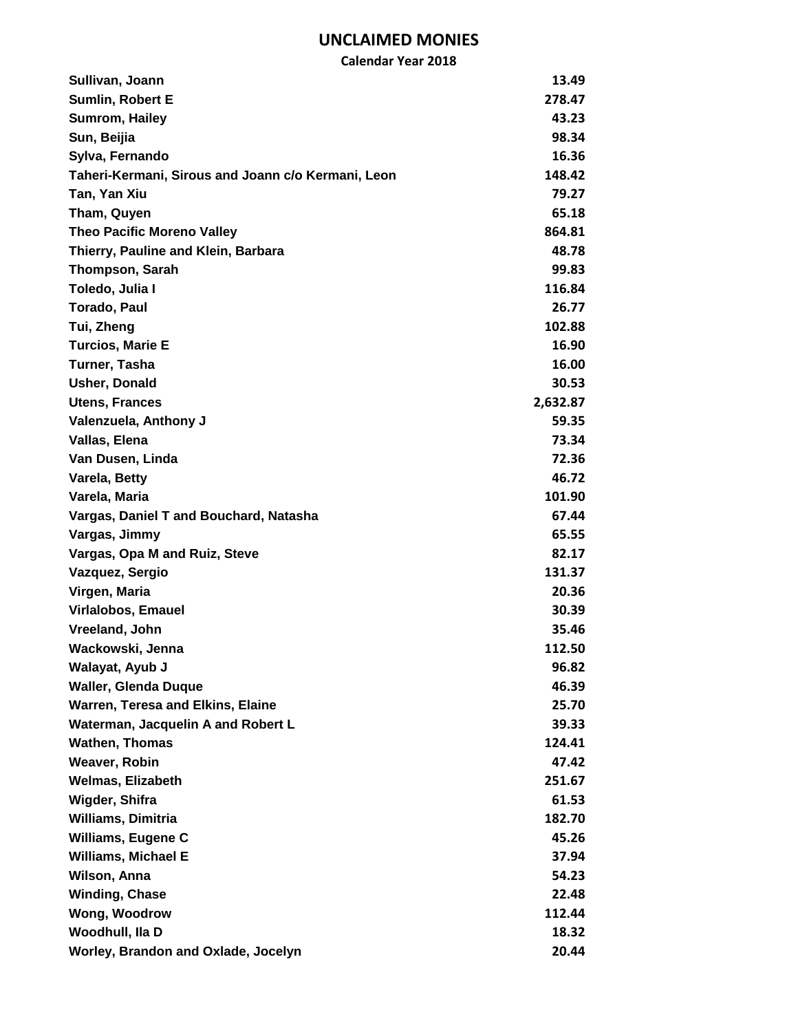| <b>Calendar Year 2018</b>                          |          |
|----------------------------------------------------|----------|
| Sullivan, Joann                                    | 13.49    |
| <b>Sumlin, Robert E</b>                            | 278.47   |
| Sumrom, Hailey                                     | 43.23    |
| Sun, Beijia                                        | 98.34    |
| Sylva, Fernando                                    | 16.36    |
| Taheri-Kermani, Sirous and Joann c/o Kermani, Leon | 148.42   |
| Tan, Yan Xiu                                       | 79.27    |
| Tham, Quyen                                        | 65.18    |
| <b>Theo Pacific Moreno Valley</b>                  | 864.81   |
| Thierry, Pauline and Klein, Barbara                | 48.78    |
| <b>Thompson, Sarah</b>                             | 99.83    |
| Toledo, Julia I                                    | 116.84   |
| <b>Torado, Paul</b>                                | 26.77    |
| Tui, Zheng                                         | 102.88   |
| <b>Turcios, Marie E</b>                            | 16.90    |
| Turner, Tasha                                      | 16.00    |
| <b>Usher, Donald</b>                               | 30.53    |
| <b>Utens, Frances</b>                              | 2,632.87 |
| Valenzuela, Anthony J                              | 59.35    |
| Vallas, Elena                                      | 73.34    |
| Van Dusen, Linda                                   | 72.36    |
| Varela, Betty                                      | 46.72    |
| Varela, Maria                                      | 101.90   |
| Vargas, Daniel T and Bouchard, Natasha             | 67.44    |
| Vargas, Jimmy                                      | 65.55    |
| Vargas, Opa M and Ruiz, Steve                      | 82.17    |
| Vazquez, Sergio                                    | 131.37   |
| Virgen, Maria                                      | 20.36    |
| Virlalobos, Emauel                                 | 30.39    |
| Vreeland, John                                     | 35.46    |
| Wackowski, Jenna                                   | 112.50   |
| Walayat, Ayub J                                    | 96.82    |
| <b>Waller, Glenda Duque</b>                        | 46.39    |
| Warren, Teresa and Elkins, Elaine                  | 25.70    |
| Waterman, Jacquelin A and Robert L                 | 39.33    |
| <b>Wathen, Thomas</b>                              | 124.41   |
| Weaver, Robin                                      | 47.42    |
| <b>Welmas, Elizabeth</b>                           | 251.67   |
| Wigder, Shifra                                     | 61.53    |
| <b>Williams, Dimitria</b>                          | 182.70   |
| Williams, Eugene C                                 | 45.26    |
| <b>Williams, Michael E</b>                         | 37.94    |
| Wilson, Anna                                       | 54.23    |
| <b>Winding, Chase</b>                              | 22.48    |
| Wong, Woodrow                                      | 112.44   |
| Woodhull, Ila D                                    | 18.32    |
| Worley, Brandon and Oxlade, Jocelyn                | 20.44    |